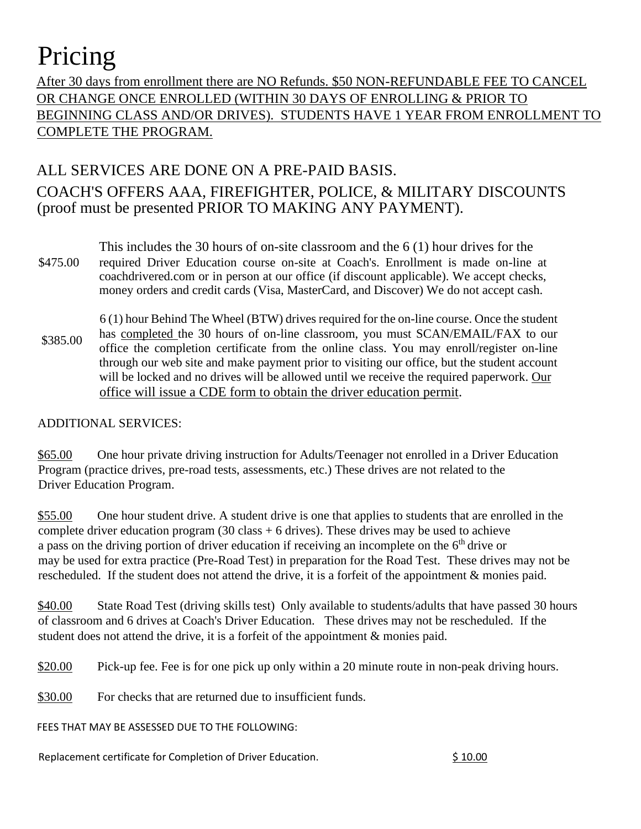## Pricing

After 30 days from enrollment there are NO Refunds. \$50 NON-REFUNDABLE FEE TO CANCEL OR CHANGE ONCE ENROLLED (WITHIN 30 DAYS OF ENROLLING & PRIOR TO BEGINNING CLASS AND/OR DRIVES). STUDENTS HAVE 1 YEAR FROM ENROLLMENT TO COMPLETE THE PROGRAM.

## ALL SERVICES ARE DONE ON A PRE-PAID BASIS. COACH'S OFFERS AAA, FIREFIGHTER, POLICE, & MILITARY DISCOUNTS (proof must be presented PRIOR TO MAKING ANY PAYMENT).

- This includes the 30 hours of on-site classroom and the 6 (1) hour drives for the \$475.00 required Driver Education course on-site at Coach's. Enrollment is made on-line at coachdrivered.com or in person at our office (if discount applicable). We accept checks, money orders and credit cards (Visa, MasterCard, and Discover) We do not accept cash.
- \$385.00 6 (1) hour Behind The Wheel (BTW) drives required for the on-line course. Once the student has completed the 30 hours of on-line classroom, you must SCAN/EMAIL/FAX to our office the completion certificate from the online class. You may enroll/register on-line through our web site and make payment prior to visiting our office, but the student account will be locked and no drives will be allowed until we receive the required paperwork. Our office will issue a CDE form to obtain the driver education permit.

## ADDITIONAL SERVICES:

\$65.00 One hour private driving instruction for Adults/Teenager not enrolled in a Driver Education Program (practice drives, pre-road tests, assessments, etc.) These drives are not related to the Driver Education Program.

\$55.00 One hour student drive. A student drive is one that applies to students that are enrolled in the complete driver education program  $(30 \text{ class} + 6 \text{ drives})$ . These drives may be used to achieve a pass on the driving portion of driver education if receiving an incomplete on the 6<sup>th</sup> drive or may be used for extra practice (Pre-Road Test) in preparation for the Road Test. These drives may not be rescheduled. If the student does not attend the drive, it is a forfeit of the appointment & monies paid.

\$40.00 State Road Test (driving skills test) Only available to students/adults that have passed 30 hours of classroom and 6 drives at Coach's Driver Education. These drives may not be rescheduled. If the student does not attend the drive, it is a forfeit of the appointment & monies paid.

\$20.00 Pick-up fee. Fee is for one pick up only within a 20 minute route in non-peak driving hours.

\$30.00 For checks that are returned due to insufficient funds.

FEES THAT MAY BE ASSESSED DUE TO THE FOLLOWING:

Replacement certificate for Completion of Driver Education.  $\qquad \qquad$  \$ 10.00